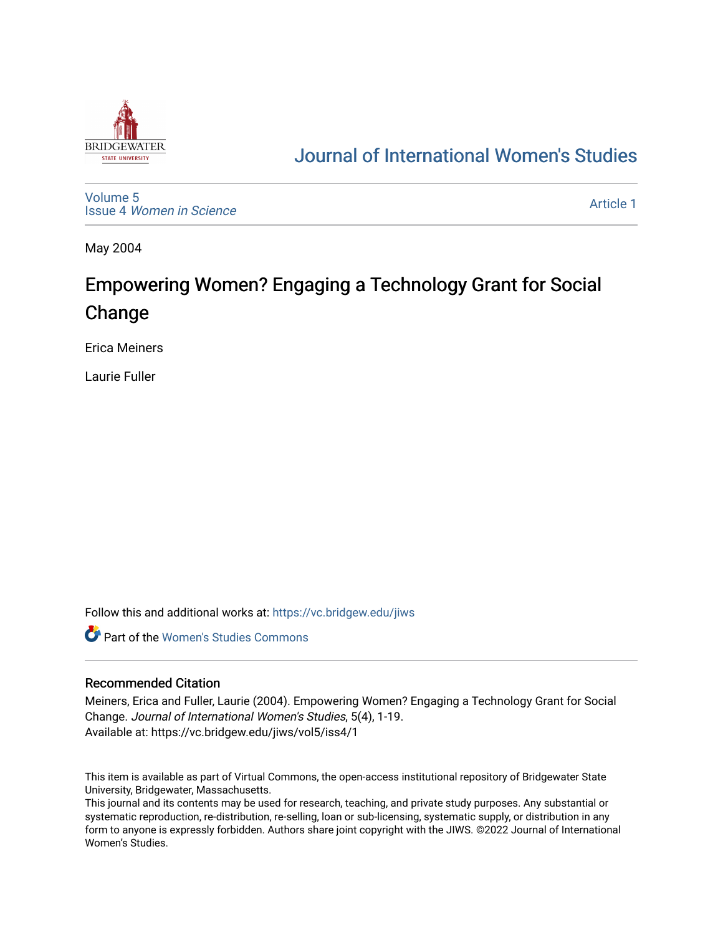

# [Journal of International Women's Studies](https://vc.bridgew.edu/jiws)

[Volume 5](https://vc.bridgew.edu/jiws/vol5) Issue 4 [Women in Science](https://vc.bridgew.edu/jiws/vol5/iss4) 

[Article 1](https://vc.bridgew.edu/jiws/vol5/iss4/1) 

May 2004

# Empowering Women? Engaging a Technology Grant for Social Change

Erica Meiners

Laurie Fuller

Follow this and additional works at: [https://vc.bridgew.edu/jiws](https://vc.bridgew.edu/jiws?utm_source=vc.bridgew.edu%2Fjiws%2Fvol5%2Fiss4%2F1&utm_medium=PDF&utm_campaign=PDFCoverPages)

**C** Part of the Women's Studies Commons

#### Recommended Citation

Meiners, Erica and Fuller, Laurie (2004). Empowering Women? Engaging a Technology Grant for Social Change. Journal of International Women's Studies, 5(4), 1-19. Available at: https://vc.bridgew.edu/jiws/vol5/iss4/1

This item is available as part of Virtual Commons, the open-access institutional repository of Bridgewater State University, Bridgewater, Massachusetts.

This journal and its contents may be used for research, teaching, and private study purposes. Any substantial or systematic reproduction, re-distribution, re-selling, loan or sub-licensing, systematic supply, or distribution in any form to anyone is expressly forbidden. Authors share joint copyright with the JIWS. ©2022 Journal of International Women's Studies.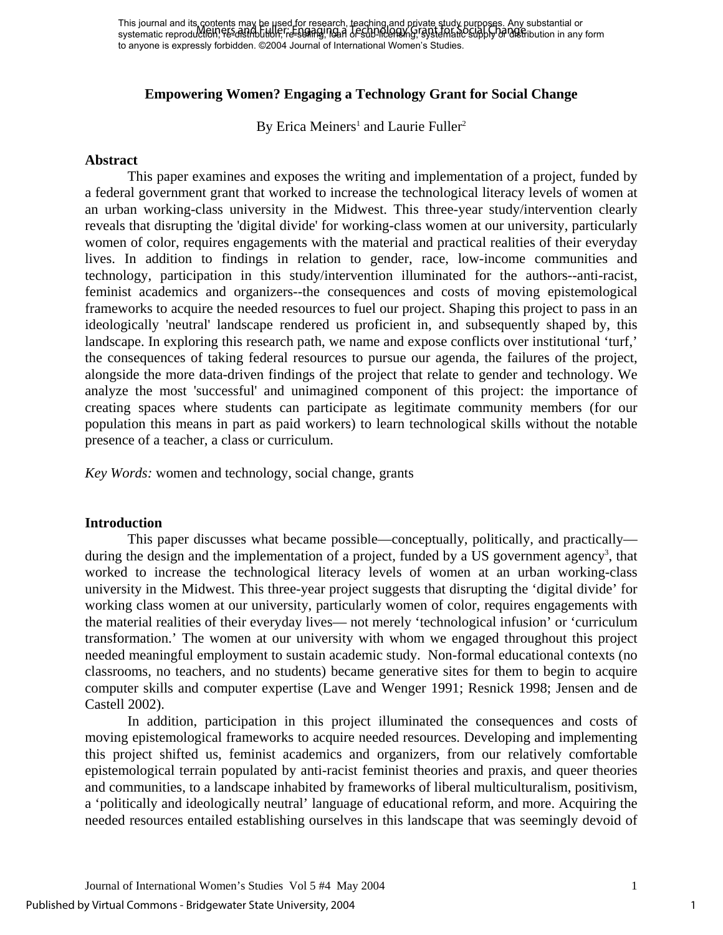### **Empowering Women? Engaging a Technology Grant for Social Change**

By Erica Meiners<sup>[1](#page-19-0)</sup> and Laurie Fuller<sup>[2](#page-19-1)</sup>

#### **Abstract**

This paper examines and exposes the writing and implementation of a project, funded by a federal government grant that worked to increase the technological literacy levels of women at an urban working-class university in the Midwest. This three-year study/intervention clearly reveals that disrupting the 'digital divide' for working-class women at our university, particularly women of color, requires engagements with the material and practical realities of their everyday lives. In addition to findings in relation to gender, race, low-income communities and technology, participation in this study/intervention illuminated for the authors--anti-racist, feminist academics and organizers--the consequences and costs of moving epistemological frameworks to acquire the needed resources to fuel our project. Shaping this project to pass in an ideologically 'neutral' landscape rendered us proficient in, and subsequently shaped by, this landscape. In exploring this research path, we name and expose conflicts over institutional 'turf,' the consequences of taking federal resources to pursue our agenda, the failures of the project, alongside the more data-driven findings of the project that relate to gender and technology. We analyze the most 'successful' and unimagined component of this project: the importance of creating spaces where students can participate as legitimate community members (for our population this means in part as paid workers) to learn technological skills without the notable presence of a teacher, a class or curriculum.

*Key Words:* women and technology, social change, grants

#### **Introduction**

This paper discusses what became possible—conceptually, politically, and practically— during the design and the implementation of a project, funded by a US government agency<sup>[3](#page-19-2)</sup>, that worked to increase the technological literacy levels of women at an urban working-class university in the Midwest. This three-year project suggests that disrupting the 'digital divide' for working class women at our university, particularly women of color, requires engagements with the material realities of their everyday lives— not merely 'technological infusion' or 'curriculum transformation.' The women at our university with whom we engaged throughout this project needed meaningful employment to sustain academic study. Non-formal educational contexts (no classrooms, no teachers, and no students) became generative sites for them to begin to acquire computer skills and computer expertise (Lave and Wenger 1991; Resnick 1998; Jensen and de Castell 2002).

In addition, participation in this project illuminated the consequences and costs of moving epistemological frameworks to acquire needed resources. Developing and implementing this project shifted us, feminist academics and organizers, from our relatively comfortable epistemological terrain populated by anti-racist feminist theories and praxis, and queer theories and communities, to a landscape inhabited by frameworks of liberal multiculturalism, positivism, a 'politically and ideologically neutral' language of educational reform, and more. Acquiring the needed resources entailed establishing ourselves in this landscape that was seemingly devoid of

1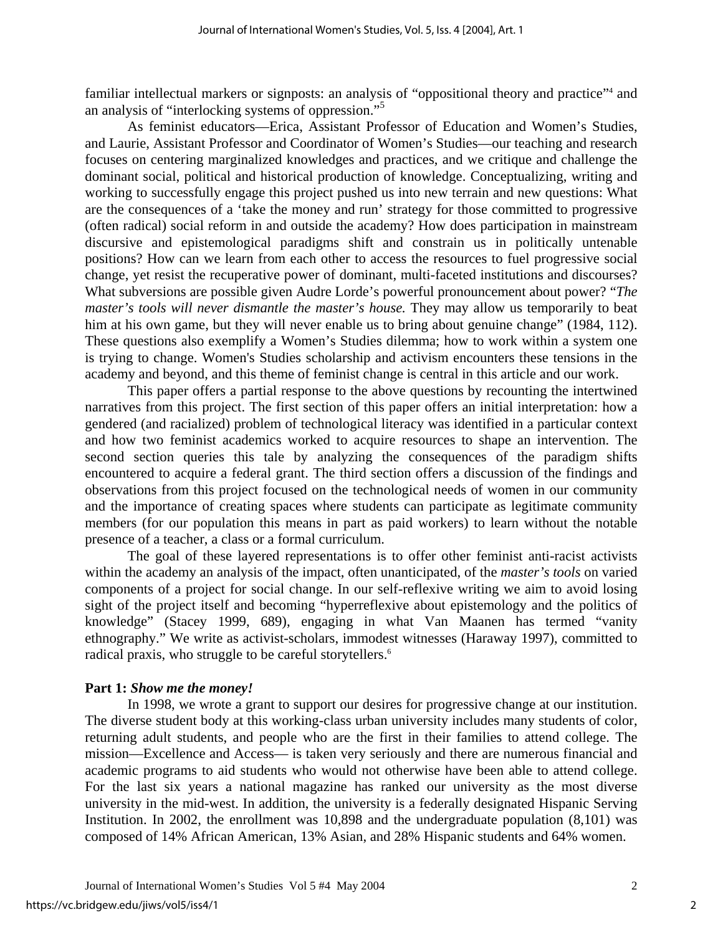familiar intellectual markers or signposts: an analysis of "oppositional theory and practice"<sup>[4](#page-19-3)</sup> and an analysis of "interlocking systems of oppression."[5](#page-19-4)

As feminist educators—Erica, Assistant Professor of Education and Women's Studies, and Laurie, Assistant Professor and Coordinator of Women's Studies—our teaching and research focuses on centering marginalized knowledges and practices, and we critique and challenge the dominant social, political and historical production of knowledge. Conceptualizing, writing and working to successfully engage this project pushed us into new terrain and new questions: What are the consequences of a 'take the money and run' strategy for those committed to progressive (often radical) social reform in and outside the academy? How does participation in mainstream discursive and epistemological paradigms shift and constrain us in politically untenable positions? How can we learn from each other to access the resources to fuel progressive social change, yet resist the recuperative power of dominant, multi-faceted institutions and discourses? What subversions are possible given Audre Lorde's powerful pronouncement about power? "*The master's tools will never dismantle the master's house.* They may allow us temporarily to beat him at his own game, but they will never enable us to bring about genuine change" (1984, 112). These questions also exemplify a Women's Studies dilemma; how to work within a system one is trying to change. Women's Studies scholarship and activism encounters these tensions in the academy and beyond, and this theme of feminist change is central in this article and our work.

This paper offers a partial response to the above questions by recounting the intertwined narratives from this project. The first section of this paper offers an initial interpretation: how a gendered (and racialized) problem of technological literacy was identified in a particular context and how two feminist academics worked to acquire resources to shape an intervention. The second section queries this tale by analyzing the consequences of the paradigm shifts encountered to acquire a federal grant. The third section offers a discussion of the findings and observations from this project focused on the technological needs of women in our community and the importance of creating spaces where students can participate as legitimate community members (for our population this means in part as paid workers) to learn without the notable presence of a teacher, a class or a formal curriculum.

The goal of these layered representations is to offer other feminist anti-racist activists within the academy an analysis of the impact, often unanticipated, of the *master's tools* on varied components of a project for social change. In our self-reflexive writing we aim to avoid losing sight of the project itself and becoming "hyperreflexive about epistemology and the politics of knowledge" (Stacey 1999, 689), engaging in what Van Maanen has termed "vanity ethnography." We write as activist-scholars, immodest witnesses (Haraway 1997), committed to radical praxis, who struggle to be careful storytellers.<sup>6</sup>

#### **Part 1:** *Show me the money!*

In 1998, we wrote a grant to support our desires for progressive change at our institution. The diverse student body at this working-class urban university includes many students of color, returning adult students, and people who are the first in their families to attend college. The mission—Excellence and Access— is taken very seriously and there are numerous financial and academic programs to aid students who would not otherwise have been able to attend college. For the last six years a national magazine has ranked our university as the most diverse university in the mid-west. In addition, the university is a federally designated Hispanic Serving Institution. In 2002, the enrollment was 10,898 and the undergraduate population (8,101) was composed of 14% African American, 13% Asian, and 28% Hispanic students and 64% women.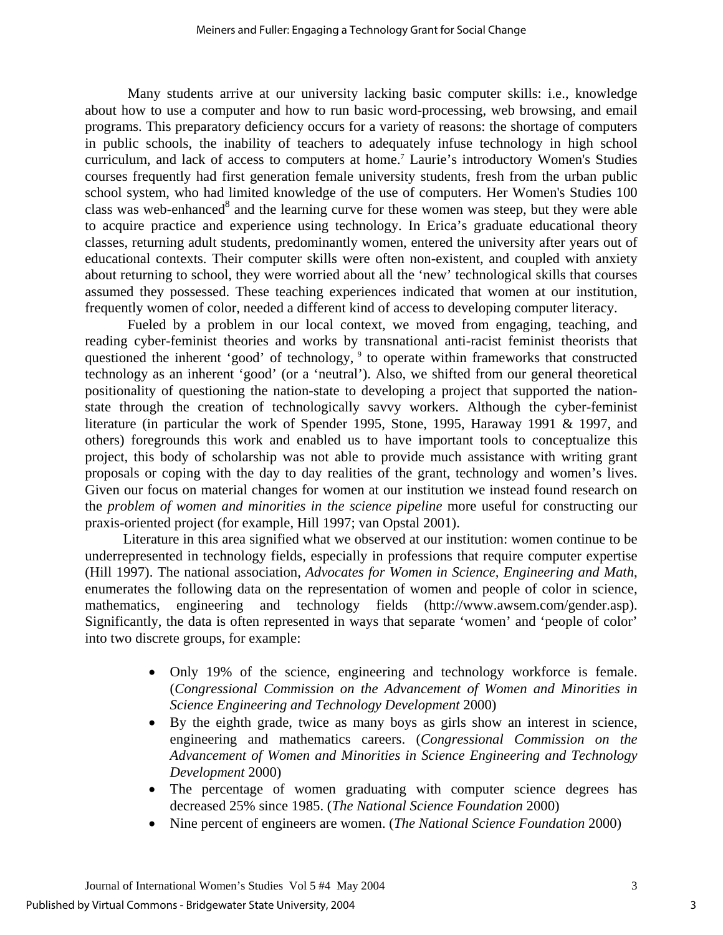Many students arrive at our university lacking basic computer skills: i.e., knowledge about how to use a computer and how to run basic word-processing, web browsing, and email programs. This preparatory deficiency occurs for a variety of reasons: the shortage of computers in public schools, the inability of teachers to adequately infuse technology in high school curriculum, and lack of access to computers at home.<sup>7</sup> Laurie's introductory Women's Studies courses frequently had first generation female university students, fresh from the urban public school system, who had limited knowledge of the use of computers. Her Women's Studies 100 class was web-enhanced $8$  and the learning curve for these women was steep, but they were able to acquire practice and experience using technology. In Erica's graduate educational theory classes, returning adult students, predominantly women, entered the university after years out of educational contexts. Their computer skills were often non-existent, and coupled with anxiety about returning to school, they were worried about all the 'new' technological skills that courses assumed they possessed. These teaching experiences indicated that women at our institution, frequently women of color, needed a different kind of access to developing computer literacy.

Fueled by a problem in our local context, we moved from engaging, teaching, and reading cyber-feminist theories and works by transnational anti-racist feminist theorists that questioned the inherent 'good' of technology, <sup>9</sup> to operate within frameworks that constructed technology as an inherent 'good' (or a 'neutral'). Also, we shifted from our general theoretical positionality of questioning the nation-state to developing a project that supported the nationstate through the creation of technologically savvy workers. Although the cyber-feminist literature (in particular the work of Spender 1995, Stone, 1995, Haraway 1991 & 1997, and others) foregrounds this work and enabled us to have important tools to conceptualize this project, this body of scholarship was not able to provide much assistance with writing grant proposals or coping with the day to day realities of the grant, technology and women's lives. Given our focus on material changes for women at our institution we instead found research on the *problem of women and minorities in the science pipeline* more useful for constructing our praxis-oriented project (for example, Hill 1997; van Opstal 2001).

Literature in this area signified what we observed at our institution: women continue to be underrepresented in technology fields, especially in professions that require computer expertise (Hill 1997). The national association, *Advocates for Women in Science, Engineering and Math*, enumerates the following data on the representation of women and people of color in science, mathematics, engineering and technology fields (http://www.awsem.com/gender.asp). Significantly, the data is often represented in ways that separate 'women' and 'people of color' into two discrete groups, for example:

- Only 19% of the science, engineering and technology workforce is female. (*Congressional Commission on the Advancement of Women and Minorities in Science Engineering and Technology Development* 2000)
- By the eighth grade, twice as many boys as girls show an interest in science, engineering and mathematics careers. (*Congressional Commission on the Advancement of Women and Minorities in Science Engineering and Technology Development* 2000)
- The percentage of women graduating with computer science degrees has decreased 25% since 1985. (*The National Science Foundation* 2000)
- Nine percent of engineers are women. (*The National Science Foundation* 2000)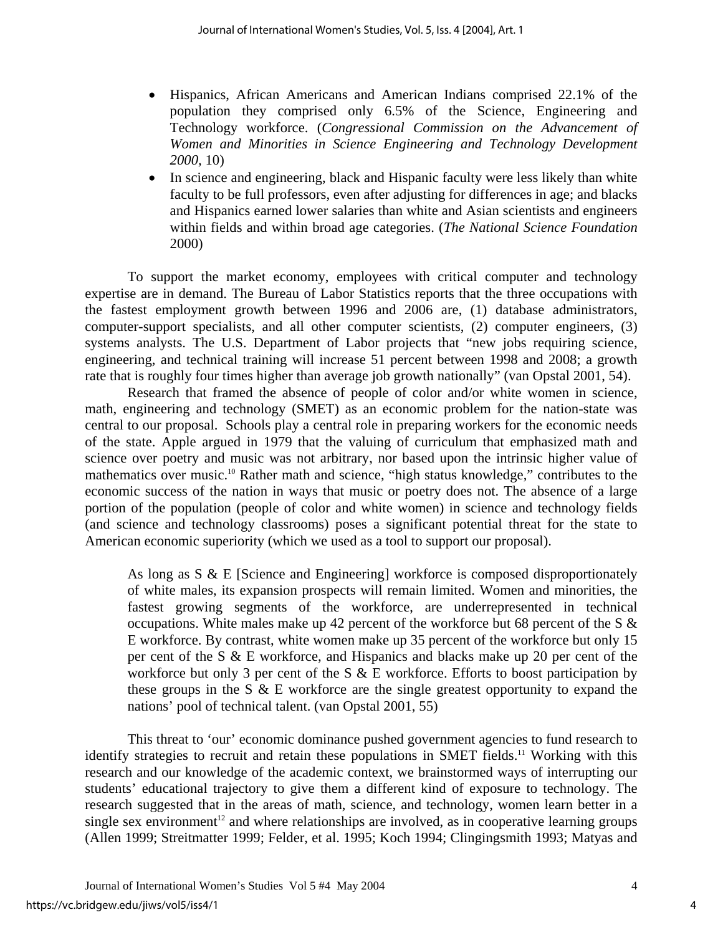- Hispanics, African Americans and American Indians comprised 22.1% of the population they comprised only 6.5% of the Science, Engineering and Technology workforce. (*Congressional Commission on the Advancement of Women and Minorities in Science Engineering and Technology Development 2000,* 10)
- In science and engineering, black and Hispanic faculty were less likely than white faculty to be full professors, even after adjusting for differences in age; and blacks and Hispanics earned lower salaries than white and Asian scientists and engineers within fields and within broad age categories. (*The National Science Foundation*  2000)

To support the market economy, employees with critical computer and technology expertise are in demand. The Bureau of Labor Statistics reports that the three occupations with the fastest employment growth between 1996 and 2006 are, (1) database administrators, computer-support specialists, and all other computer scientists, (2) computer engineers, (3) systems analysts. The U.S. Department of Labor projects that "new jobs requiring science, engineering, and technical training will increase 51 percent between 1998 and 2008; a growth rate that is roughly four times higher than average job growth nationally" (van Opstal 2001, 54).

Research that framed the absence of people of color and/or white women in science, math, engineering and technology (SMET) as an economic problem for the nation-state was central to our proposal. Schools play a central role in preparing workers for the economic needs of the state. Apple argued in 1979 that the valuing of curriculum that emphasized math and science over poetry and music was not arbitrary, nor based upon the intrinsic higher value of mathematics over music.<sup>10</sup> Rather math and science, "high status knowledge," contributes to the economic success of the nation in ways that music or poetry does not. The absence of a large portion of the population (people of color and white women) in science and technology fields (and science and technology classrooms) poses a significant potential threat for the state to American economic superiority (which we used as a tool to support our proposal).

As long as S & E [Science and Engineering] workforce is composed disproportionately of white males, its expansion prospects will remain limited. Women and minorities, the fastest growing segments of the workforce, are underrepresented in technical occupations. White males make up 42 percent of the workforce but 68 percent of the S  $\&$ E workforce. By contrast, white women make up 35 percent of the workforce but only 15 per cent of the S & E workforce, and Hispanics and blacks make up 20 per cent of the workforce but only 3 per cent of the  $S \& E$  workforce. Efforts to boost participation by these groups in the S & E workforce are the single greatest opportunity to expand the nations' pool of technical talent. (van Opstal 2001, 55)

This threat to 'our' economic dominance pushed government agencies to fund research to identify strategies to recruit and retain these populations in SMET fields.<sup>11</sup> Working with this research and our knowledge of the academic context, we brainstormed ways of interrupting our students' educational trajectory to give them a different kind of exposure to technology. The research suggested that in the areas of math, science, and technology, women learn better in a single sex environment<sup>12</sup> and where relationships are involved, as in cooperative learning groups (Allen 1999; Streitmatter 1999; Felder, et al. 1995; Koch 1994; Clingingsmith 1993; Matyas and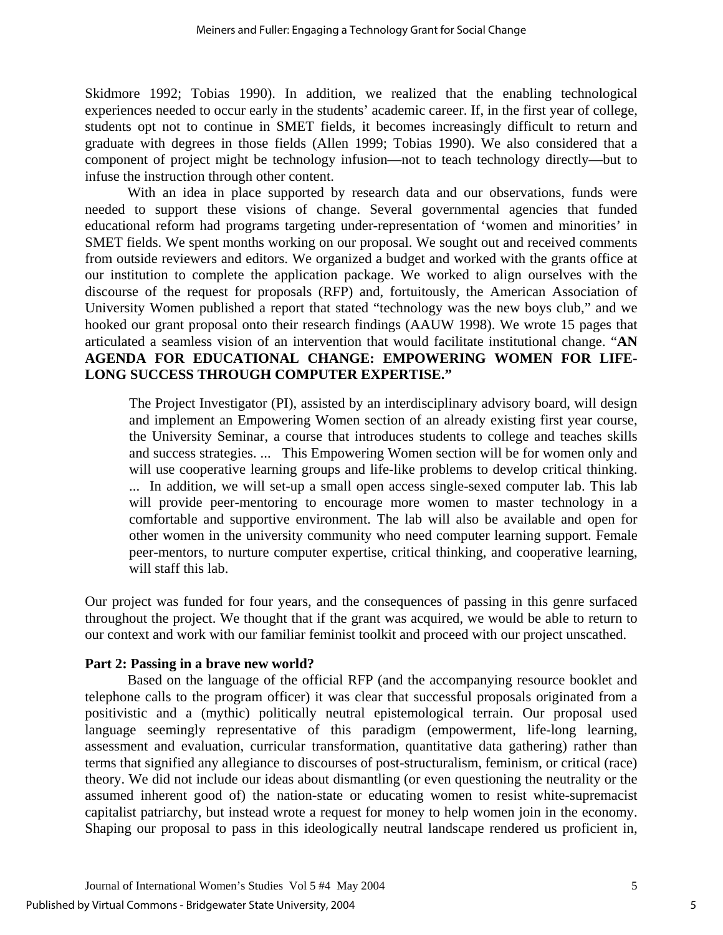Skidmore 1992; Tobias 1990). In addition, we realized that the enabling technological experiences needed to occur early in the students' academic career. If, in the first year of college, students opt not to continue in SMET fields, it becomes increasingly difficult to return and graduate with degrees in those fields (Allen 1999; Tobias 1990). We also considered that a component of project might be technology infusion—not to teach technology directly—but to infuse the instruction through other content.

With an idea in place supported by research data and our observations, funds were needed to support these visions of change. Several governmental agencies that funded educational reform had programs targeting under-representation of 'women and minorities' in SMET fields. We spent months working on our proposal. We sought out and received comments from outside reviewers and editors. We organized a budget and worked with the grants office at our institution to complete the application package. We worked to align ourselves with the discourse of the request for proposals (RFP) and, fortuitously, the American Association of University Women published a report that stated "technology was the new boys club," and we hooked our grant proposal onto their research findings (AAUW 1998). We wrote 15 pages that articulated a seamless vision of an intervention that would facilitate institutional change. "**AN AGENDA FOR EDUCATIONAL CHANGE: EMPOWERING WOMEN FOR LIFE-LONG SUCCESS THROUGH COMPUTER EXPERTISE."** 

The Project Investigator (PI), assisted by an interdisciplinary advisory board, will design and implement an Empowering Women section of an already existing first year course, the University Seminar, a course that introduces students to college and teaches skills and success strategies. ... This Empowering Women section will be for women only and will use cooperative learning groups and life-like problems to develop critical thinking. ... In addition, we will set-up a small open access single-sexed computer lab. This lab will provide peer-mentoring to encourage more women to master technology in a comfortable and supportive environment. The lab will also be available and open for other women in the university community who need computer learning support. Female peer-mentors, to nurture computer expertise, critical thinking, and cooperative learning, will staff this lab.

Our project was funded for four years, and the consequences of passing in this genre surfaced throughout the project. We thought that if the grant was acquired, we would be able to return to our context and work with our familiar feminist toolkit and proceed with our project unscathed.

#### **Part 2: Passing in a brave new world?**

Based on the language of the official RFP (and the accompanying resource booklet and telephone calls to the program officer) it was clear that successful proposals originated from a positivistic and a (mythic) politically neutral epistemological terrain. Our proposal used language seemingly representative of this paradigm (empowerment, life-long learning, assessment and evaluation, curricular transformation, quantitative data gathering) rather than terms that signified any allegiance to discourses of post-structuralism, feminism, or critical (race) theory. We did not include our ideas about dismantling (or even questioning the neutrality or the assumed inherent good of) the nation-state or educating women to resist white-supremacist capitalist patriarchy, but instead wrote a request for money to help women join in the economy. Shaping our proposal to pass in this ideologically neutral landscape rendered us proficient in,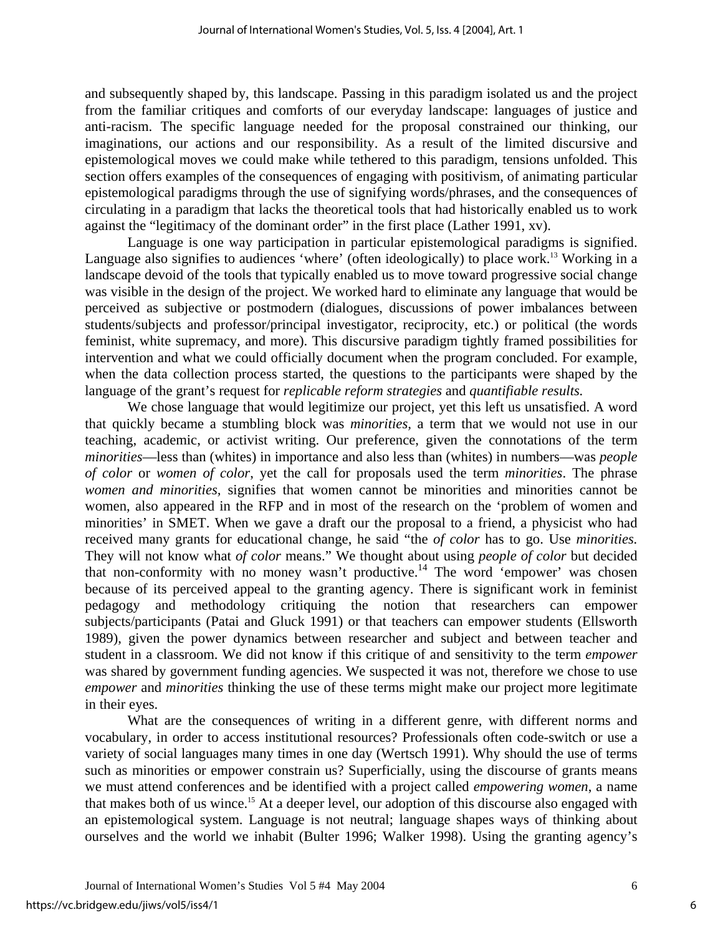and subsequently shaped by, this landscape. Passing in this paradigm isolated us and the project from the familiar critiques and comforts of our everyday landscape: languages of justice and anti-racism. The specific language needed for the proposal constrained our thinking, our imaginations, our actions and our responsibility. As a result of the limited discursive and epistemological moves we could make while tethered to this paradigm, tensions unfolded. This section offers examples of the consequences of engaging with positivism, of animating particular epistemological paradigms through the use of signifying words/phrases, and the consequences of circulating in a paradigm that lacks the theoretical tools that had historically enabled us to work against the "legitimacy of the dominant order" in the first place (Lather 1991, xv).

Language is one way participation in particular epistemological paradigms is signified. Language also signifies to audiences 'where' (often ideologically) to place work.<sup>13</sup> Working in a landscape devoid of the tools that typically enabled us to move toward progressive social change was visible in the design of the project. We worked hard to eliminate any language that would be perceived as subjective or postmodern (dialogues, discussions of power imbalances between students/subjects and professor/principal investigator, reciprocity, etc.) or political (the words feminist, white supremacy, and more). This discursive paradigm tightly framed possibilities for intervention and what we could officially document when the program concluded. For example, when the data collection process started, the questions to the participants were shaped by the language of the grant's request for *replicable reform strategies* and *quantifiable results.*

We chose language that would legitimize our project, yet this left us unsatisfied. A word that quickly became a stumbling block was *minorities,* a term that we would not use in our teaching, academic, or activist writing. Our preference, given the connotations of the term *minorities*—less than (whites) in importance and also less than (whites) in numbers—was *people of color* or *women of color*, yet the call for proposals used the term *minorities*. The phrase *women and minorities,* signifies that women cannot be minorities and minorities cannot be women, also appeared in the RFP and in most of the research on the 'problem of women and minorities' in SMET. When we gave a draft our the proposal to a friend, a physicist who had received many grants for educational change, he said "the *of color* has to go. Use *minorities.* They will not know what *of color* means." We thought about using *people of color* but decided that non-conformity with no money wasn't productive.<sup>14</sup> The word 'empower' was chosen because of its perceived appeal to the granting agency. There is significant work in feminist pedagogy and methodology critiquing the notion that researchers can empower subjects/participants (Patai and Gluck 1991) or that teachers can empower students (Ellsworth 1989), given the power dynamics between researcher and subject and between teacher and student in a classroom. We did not know if this critique of and sensitivity to the term *empower* was shared by government funding agencies. We suspected it was not, therefore we chose to use *empower* and *minorities* thinking the use of these terms might make our project more legitimate in their eyes.

What are the consequences of writing in a different genre, with different norms and vocabulary, in order to access institutional resources? Professionals often code-switch or use a variety of social languages many times in one day (Wertsch 1991). Why should the use of terms such as minorities or empower constrain us? Superficially, using the discourse of grants means we must attend conferences and be identified with a project called *empowering women*, a name that makes both of us wince.[15](#page-19-14) At a deeper level, our adoption of this discourse also engaged with an epistemological system. Language is not neutral; language shapes ways of thinking about ourselves and the world we inhabit (Bulter 1996; Walker 1998). Using the granting agency's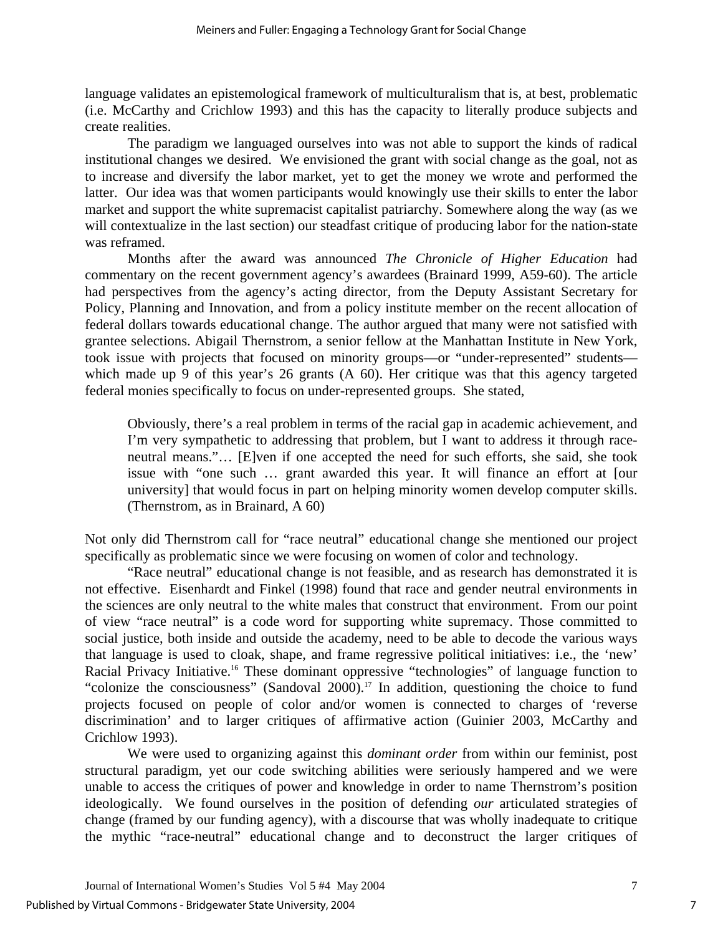language validates an epistemological framework of multiculturalism that is, at best, problematic (i.e. McCarthy and Crichlow 1993) and this has the capacity to literally produce subjects and create realities.

The paradigm we languaged ourselves into was not able to support the kinds of radical institutional changes we desired. We envisioned the grant with social change as the goal, not as to increase and diversify the labor market, yet to get the money we wrote and performed the latter. Our idea was that women participants would knowingly use their skills to enter the labor market and support the white supremacist capitalist patriarchy. Somewhere along the way (as we will contextualize in the last section) our steadfast critique of producing labor for the nation-state was reframed.

Months after the award was announced *The Chronicle of Higher Education* had commentary on the recent government agency's awardees (Brainard 1999, A59-60). The article had perspectives from the agency's acting director, from the Deputy Assistant Secretary for Policy, Planning and Innovation, and from a policy institute member on the recent allocation of federal dollars towards educational change. The author argued that many were not satisfied with grantee selections. Abigail Thernstrom, a senior fellow at the Manhattan Institute in New York, took issue with projects that focused on minority groups—or "under-represented" students which made up 9 of this year's 26 grants (A 60). Her critique was that this agency targeted federal monies specifically to focus on under-represented groups. She stated,

Obviously, there's a real problem in terms of the racial gap in academic achievement, and I'm very sympathetic to addressing that problem, but I want to address it through raceneutral means."… [E]ven if one accepted the need for such efforts, she said, she took issue with "one such … grant awarded this year. It will finance an effort at [our university] that would focus in part on helping minority women develop computer skills. (Thernstrom, as in Brainard, A 60)

Not only did Thernstrom call for "race neutral" educational change she mentioned our project specifically as problematic since we were focusing on women of color and technology.

"Race neutral" educational change is not feasible, and as research has demonstrated it is not effective. Eisenhardt and Finkel (1998) found that race and gender neutral environments in the sciences are only neutral to the white males that construct that environment. From our point of view "race neutral" is a code word for supporting white supremacy. Those committed to social justice, both inside and outside the academy, need to be able to decode the various ways that language is used to cloak, shape, and frame regressive political initiatives: i.e., the 'new' Racial Privacy Initiative.<sup>16</sup> These dominant oppressive "technologies" of language function to "colonize the consciousness" (Sandoval 2000).<sup>17</sup> In addition, questioning the choice to fund projects focused on people of color and/or women is connected to charges of 'reverse discrimination' and to larger critiques of affirmative action (Guinier 2003, McCarthy and Crichlow 1993).

We were used to organizing against this *dominant order* from within our feminist, post structural paradigm, yet our code switching abilities were seriously hampered and we were unable to access the critiques of power and knowledge in order to name Thernstrom's position ideologically. We found ourselves in the position of defending *our* articulated strategies of change (framed by our funding agency), with a discourse that was wholly inadequate to critique the mythic "race-neutral" educational change and to deconstruct the larger critiques of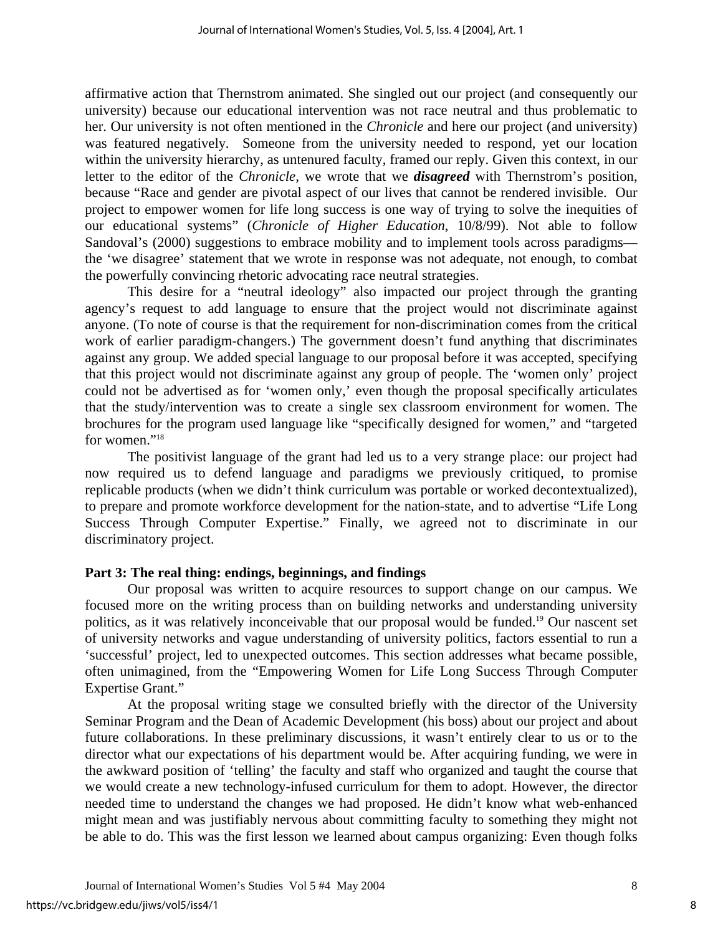affirmative action that Thernstrom animated. She singled out our project (and consequently our university) because our educational intervention was not race neutral and thus problematic to her. Our university is not often mentioned in the *Chronicle* and here our project (and university) was featured negatively*.* Someone from the university needed to respond, yet our location within the university hierarchy, as untenured faculty, framed our reply. Given this context, in our letter to the editor of the *Chronicle,* we wrote that we *disagreed* with Thernstrom's position, because "Race and gender are pivotal aspect of our lives that cannot be rendered invisible. Our project to empower women for life long success is one way of trying to solve the inequities of our educational systems" (*Chronicle of Higher Education*, 10/8/99). Not able to follow Sandoval's (2000) suggestions to embrace mobility and to implement tools across paradigms the 'we disagree' statement that we wrote in response was not adequate, not enough, to combat the powerfully convincing rhetoric advocating race neutral strategies.

This desire for a "neutral ideology" also impacted our project through the granting agency's request to add language to ensure that the project would not discriminate against anyone. (To note of course is that the requirement for non-discrimination comes from the critical work of earlier paradigm-changers.) The government doesn't fund anything that discriminates against any group. We added special language to our proposal before it was accepted, specifying that this project would not discriminate against any group of people. The 'women only' project could not be advertised as for 'women only,' even though the proposal specifically articulates that the study/intervention was to create a single sex classroom environment for women. The brochures for the program used language like "specifically designed for women," and "targeted for women."<sup>18</sup>

The positivist language of the grant had led us to a very strange place: our project had now required us to defend language and paradigms we previously critiqued, to promise replicable products (when we didn't think curriculum was portable or worked decontextualized), to prepare and promote workforce development for the nation-state, and to advertise "Life Long Success Through Computer Expertise." Finally, we agreed not to discriminate in our discriminatory project.

#### **Part 3: The real thing: endings, beginnings, and findings**

Our proposal was written to acquire resources to support change on our campus. We focused more on the writing process than on building networks and understanding university politics, as it was relatively inconceivable that our proposal would be funded.[19](#page-19-18) Our nascent set of university networks and vague understanding of university politics, factors essential to run a 'successful' project, led to unexpected outcomes. This section addresses what became possible, often unimagined, from the "Empowering Women for Life Long Success Through Computer Expertise Grant."

At the proposal writing stage we consulted briefly with the director of the University Seminar Program and the Dean of Academic Development (his boss) about our project and about future collaborations. In these preliminary discussions, it wasn't entirely clear to us or to the director what our expectations of his department would be. After acquiring funding, we were in the awkward position of 'telling' the faculty and staff who organized and taught the course that we would create a new technology-infused curriculum for them to adopt. However, the director needed time to understand the changes we had proposed. He didn't know what web-enhanced might mean and was justifiably nervous about committing faculty to something they might not be able to do. This was the first lesson we learned about campus organizing: Even though folks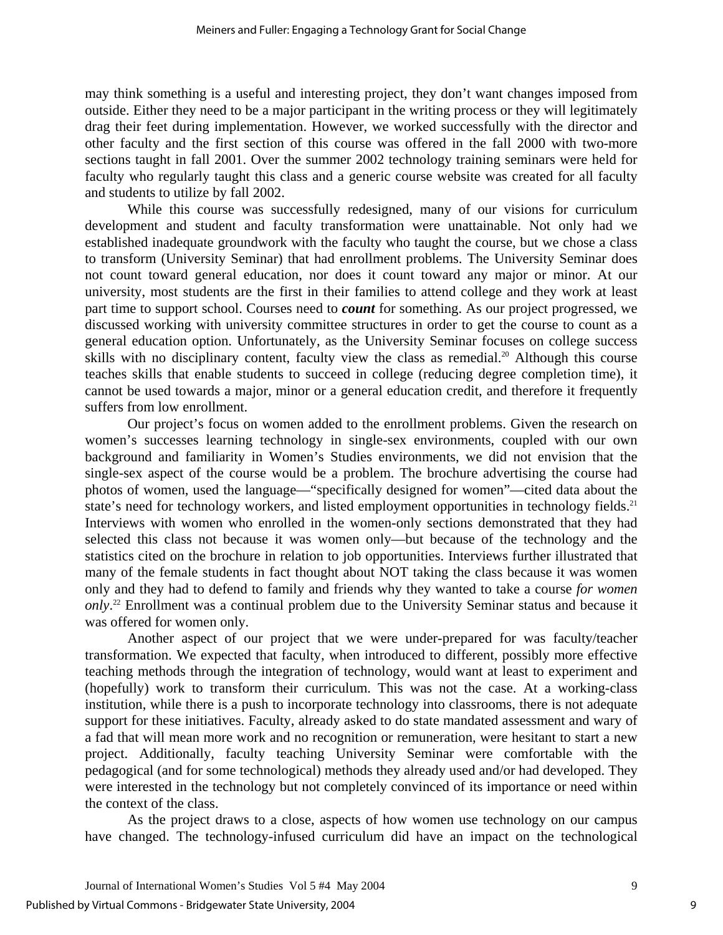may think something is a useful and interesting project, they don't want changes imposed from outside. Either they need to be a major participant in the writing process or they will legitimately drag their feet during implementation. However, we worked successfully with the director and other faculty and the first section of this course was offered in the fall 2000 with two-more sections taught in fall 2001. Over the summer 2002 technology training seminars were held for faculty who regularly taught this class and a generic course website was created for all faculty and students to utilize by fall 2002.

While this course was successfully redesigned, many of our visions for curriculum development and student and faculty transformation were unattainable. Not only had we established inadequate groundwork with the faculty who taught the course, but we chose a class to transform (University Seminar) that had enrollment problems. The University Seminar does not count toward general education, nor does it count toward any major or minor. At our university, most students are the first in their families to attend college and they work at least part time to support school. Courses need to *count* for something. As our project progressed, we discussed working with university committee structures in order to get the course to count as a general education option. Unfortunately, as the University Seminar focuses on college success skills with no disciplinary content, faculty view the class as remedial.<sup>20</sup> Although this course teaches skills that enable students to succeed in college (reducing degree completion time), it cannot be used towards a major, minor or a general education credit, and therefore it frequently suffers from low enrollment.

Our project's focus on women added to the enrollment problems. Given the research on women's successes learning technology in single-sex environments, coupled with our own background and familiarity in Women's Studies environments, we did not envision that the single-sex aspect of the course would be a problem. The brochure advertising the course had photos of women, used the language—"specifically designed for women"—cited data about the state's need for technology workers, and listed employment opportunities in technology fields.<sup>[21](#page-19-20)</sup> Interviews with women who enrolled in the women-only sections demonstrated that they had selected this class not because it was women only—but because of the technology and the statistics cited on the brochure in relation to job opportunities. Interviews further illustrated that many of the female students in fact thought about NOT taking the class because it was women only and they had to defend to family and friends why they wanted to take a course *for women only*. [22](#page-19-21) Enrollment was a continual problem due to the University Seminar status and because it was offered for women only.

Another aspect of our project that we were under-prepared for was faculty/teacher transformation. We expected that faculty, when introduced to different, possibly more effective teaching methods through the integration of technology, would want at least to experiment and (hopefully) work to transform their curriculum. This was not the case. At a working-class institution, while there is a push to incorporate technology into classrooms, there is not adequate support for these initiatives. Faculty, already asked to do state mandated assessment and wary of a fad that will mean more work and no recognition or remuneration, were hesitant to start a new project. Additionally, faculty teaching University Seminar were comfortable with the pedagogical (and for some technological) methods they already used and/or had developed. They were interested in the technology but not completely convinced of its importance or need within the context of the class.

As the project draws to a close, aspects of how women use technology on our campus have changed. The technology-infused curriculum did have an impact on the technological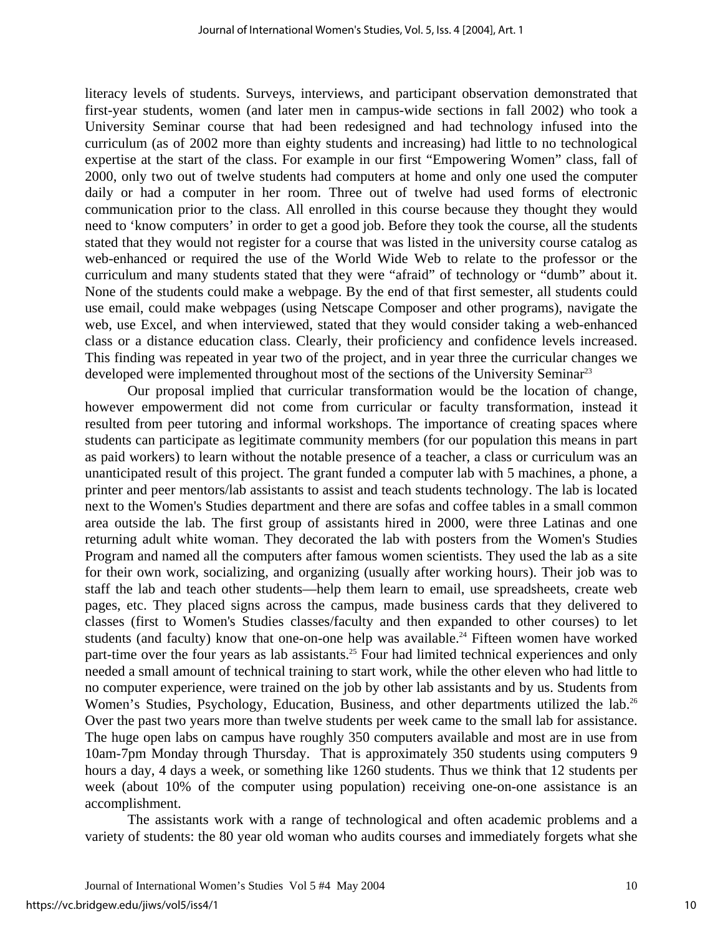literacy levels of students. Surveys, interviews, and participant observation demonstrated that first-year students, women (and later men in campus-wide sections in fall 2002) who took a University Seminar course that had been redesigned and had technology infused into the curriculum (as of 2002 more than eighty students and increasing) had little to no technological expertise at the start of the class. For example in our first "Empowering Women" class, fall of 2000, only two out of twelve students had computers at home and only one used the computer daily or had a computer in her room. Three out of twelve had used forms of electronic communication prior to the class. All enrolled in this course because they thought they would need to 'know computers' in order to get a good job. Before they took the course, all the students stated that they would not register for a course that was listed in the university course catalog as web-enhanced or required the use of the World Wide Web to relate to the professor or the curriculum and many students stated that they were "afraid" of technology or "dumb" about it. None of the students could make a webpage. By the end of that first semester, all students could use email, could make webpages (using Netscape Composer and other programs), navigate the web, use Excel, and when interviewed, stated that they would consider taking a web-enhanced class or a distance education class. Clearly, their proficiency and confidence levels increased. This finding was repeated in year two of the project, and in year three the curricular changes we developed were implemented throughout most of the sections of the University Seminar<sup>23</sup>

Our proposal implied that curricular transformation would be the location of change, however empowerment did not come from curricular or faculty transformation, instead it resulted from peer tutoring and informal workshops. The importance of creating spaces where students can participate as legitimate community members (for our population this means in part as paid workers) to learn without the notable presence of a teacher, a class or curriculum was an unanticipated result of this project. The grant funded a computer lab with 5 machines, a phone, a printer and peer mentors/lab assistants to assist and teach students technology. The lab is located next to the Women's Studies department and there are sofas and coffee tables in a small common area outside the lab. The first group of assistants hired in 2000, were three Latinas and one returning adult white woman. They decorated the lab with posters from the Women's Studies Program and named all the computers after famous women scientists. They used the lab as a site for their own work, socializing, and organizing (usually after working hours). Their job was to staff the lab and teach other students—help them learn to email, use spreadsheets, create web pages, etc. They placed signs across the campus, made business cards that they delivered to classes (first to Women's Studies classes/faculty and then expanded to other courses) to let students (and faculty) know that one-on-one help was available.<sup>24</sup> Fifteen women have worked part-time over the four years as lab assistants.<sup>25</sup> Four had limited technical experiences and only needed a small amount of technical training to start work, while the other eleven who had little to no computer experience, were trained on the job by other lab assistants and by us. Students from Women's Studies, Psychology, Education, Business, and other departments utilized the lab.<sup>[26](#page-19-25)</sup> Over the past two years more than twelve students per week came to the small lab for assistance. The huge open labs on campus have roughly 350 computers available and most are in use from 10am-7pm Monday through Thursday. That is approximately 350 students using computers 9 hours a day, 4 days a week, or something like 1260 students. Thus we think that 12 students per week (about 10% of the computer using population) receiving one-on-one assistance is an accomplishment.

The assistants work with a range of technological and often academic problems and a variety of students: the 80 year old woman who audits courses and immediately forgets what she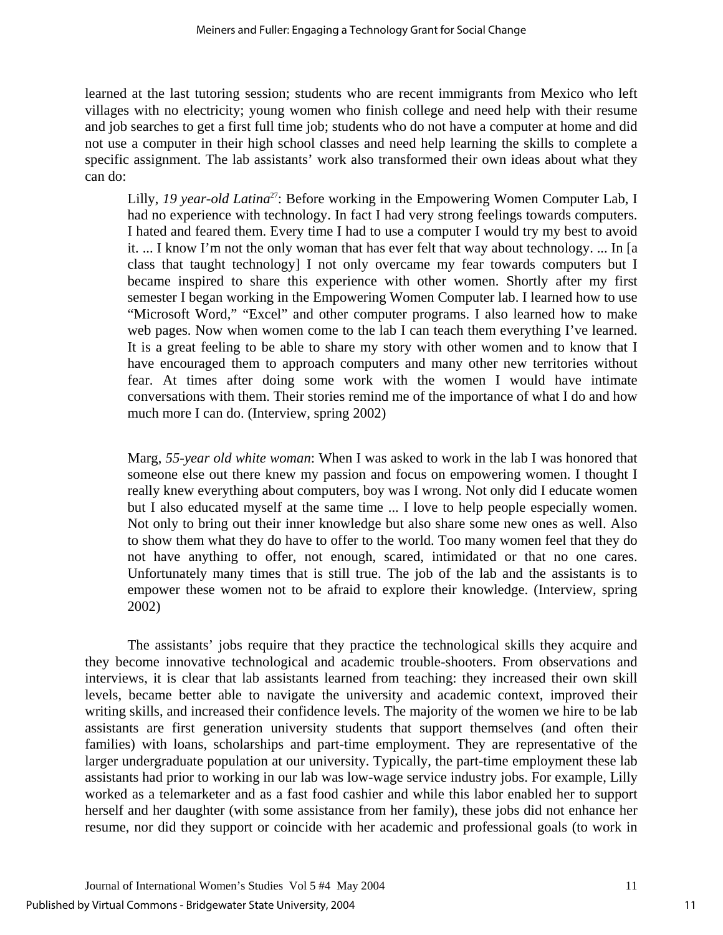learned at the last tutoring session; students who are recent immigrants from Mexico who left villages with no electricity; young women who finish college and need help with their resume and job searches to get a first full time job; students who do not have a computer at home and did not use a computer in their high school classes and need help learning the skills to complete a specific assignment. The lab assistants' work also transformed their own ideas about what they can do:

Lilly, 19 year-old Latina<sup>27</sup>: Before working in the Empowering Women Computer Lab, I had no experience with technology. In fact I had very strong feelings towards computers. I hated and feared them. Every time I had to use a computer I would try my best to avoid it. ... I know I'm not the only woman that has ever felt that way about technology. ... In [a class that taught technology] I not only overcame my fear towards computers but I became inspired to share this experience with other women. Shortly after my first semester I began working in the Empowering Women Computer lab. I learned how to use "Microsoft Word," "Excel" and other computer programs. I also learned how to make web pages. Now when women come to the lab I can teach them everything I've learned. It is a great feeling to be able to share my story with other women and to know that I have encouraged them to approach computers and many other new territories without fear. At times after doing some work with the women I would have intimate conversations with them. Their stories remind me of the importance of what I do and how much more I can do. (Interview, spring 2002)

Marg, *55-year old white woman*: When I was asked to work in the lab I was honored that someone else out there knew my passion and focus on empowering women. I thought I really knew everything about computers, boy was I wrong. Not only did I educate women but I also educated myself at the same time ... I love to help people especially women. Not only to bring out their inner knowledge but also share some new ones as well. Also to show them what they do have to offer to the world. Too many women feel that they do not have anything to offer, not enough, scared, intimidated or that no one cares. Unfortunately many times that is still true. The job of the lab and the assistants is to empower these women not to be afraid to explore their knowledge. (Interview, spring 2002)

The assistants' jobs require that they practice the technological skills they acquire and they become innovative technological and academic trouble-shooters. From observations and interviews, it is clear that lab assistants learned from teaching: they increased their own skill levels, became better able to navigate the university and academic context, improved their writing skills, and increased their confidence levels. The majority of the women we hire to be lab assistants are first generation university students that support themselves (and often their families) with loans, scholarships and part-time employment. They are representative of the larger undergraduate population at our university. Typically, the part-time employment these lab assistants had prior to working in our lab was low-wage service industry jobs. For example, Lilly worked as a telemarketer and as a fast food cashier and while this labor enabled her to support herself and her daughter (with some assistance from her family), these jobs did not enhance her resume, nor did they support or coincide with her academic and professional goals (to work in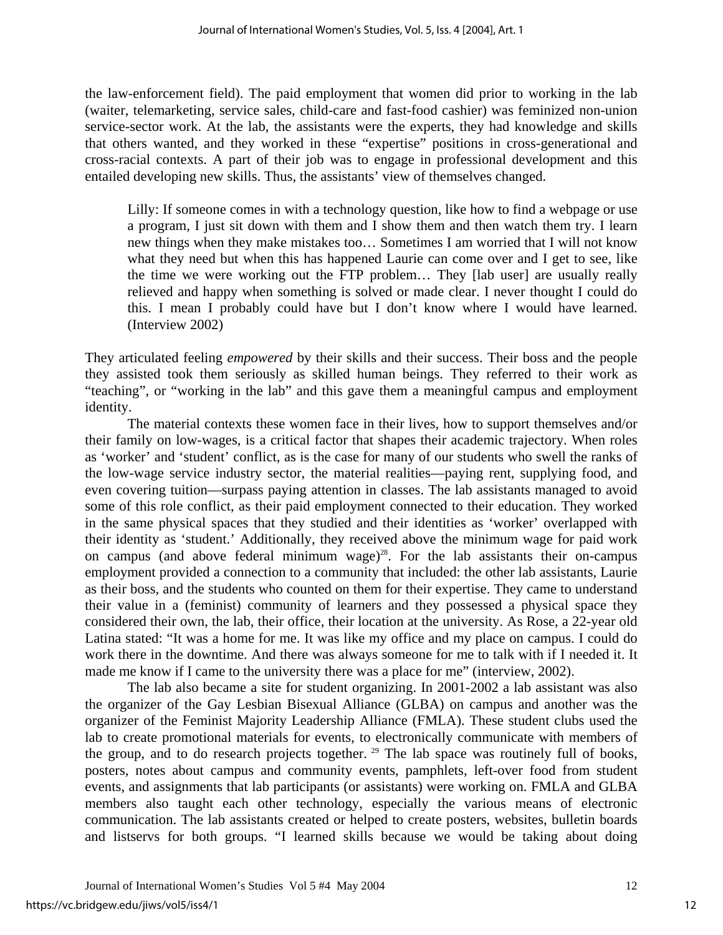the law-enforcement field). The paid employment that women did prior to working in the lab (waiter, telemarketing, service sales, child-care and fast-food cashier) was feminized non-union service-sector work. At the lab, the assistants were the experts, they had knowledge and skills that others wanted, and they worked in these "expertise" positions in cross-generational and cross-racial contexts. A part of their job was to engage in professional development and this entailed developing new skills. Thus, the assistants' view of themselves changed.

Lilly: If someone comes in with a technology question, like how to find a webpage or use a program, I just sit down with them and I show them and then watch them try. I learn new things when they make mistakes too… Sometimes I am worried that I will not know what they need but when this has happened Laurie can come over and I get to see, like the time we were working out the FTP problem… They [lab user] are usually really relieved and happy when something is solved or made clear. I never thought I could do this. I mean I probably could have but I don't know where I would have learned. (Interview 2002)

They articulated feeling *empowered* by their skills and their success. Their boss and the people they assisted took them seriously as skilled human beings. They referred to their work as "teaching", or "working in the lab" and this gave them a meaningful campus and employment identity.

The material contexts these women face in their lives, how to support themselves and/or their family on low-wages, is a critical factor that shapes their academic trajectory. When roles as 'worker' and 'student' conflict, as is the case for many of our students who swell the ranks of the low-wage service industry sector, the material realities—paying rent, supplying food, and even covering tuition—surpass paying attention in classes. The lab assistants managed to avoid some of this role conflict, as their paid employment connected to their education. They worked in the same physical spaces that they studied and their identities as 'worker' overlapped with their identity as 'student.' Additionally, they received above the minimum wage for paid work on campus (and above federal minimum wage)<sup>28</sup>. For the lab assistants their on-campus employment provided a connection to a community that included: the other lab assistants, Laurie as their boss, and the students who counted on them for their expertise. They came to understand their value in a (feminist) community of learners and they possessed a physical space they considered their own, the lab, their office, their location at the university. As Rose, a 22-year old Latina stated: "It was a home for me. It was like my office and my place on campus. I could do work there in the downtime. And there was always someone for me to talk with if I needed it. It made me know if I came to the university there was a place for me" (interview, 2002).

The lab also became a site for student organizing. In 2001-2002 a lab assistant was also the organizer of the Gay Lesbian Bisexual Alliance (GLBA) on campus and another was the organizer of the Feminist Majority Leadership Alliance (FMLA). These student clubs used the lab to create promotional materials for events, to electronically communicate with members of the group, and to do research projects together. <sup>29</sup> The lab space was routinely full of books, posters, notes about campus and community events, pamphlets, left-over food from student events, and assignments that lab participants (or assistants) were working on. FMLA and GLBA members also taught each other technology, especially the various means of electronic communication. The lab assistants created or helped to create posters, websites, bulletin boards and listservs for both groups. "I learned skills because we would be taking about doing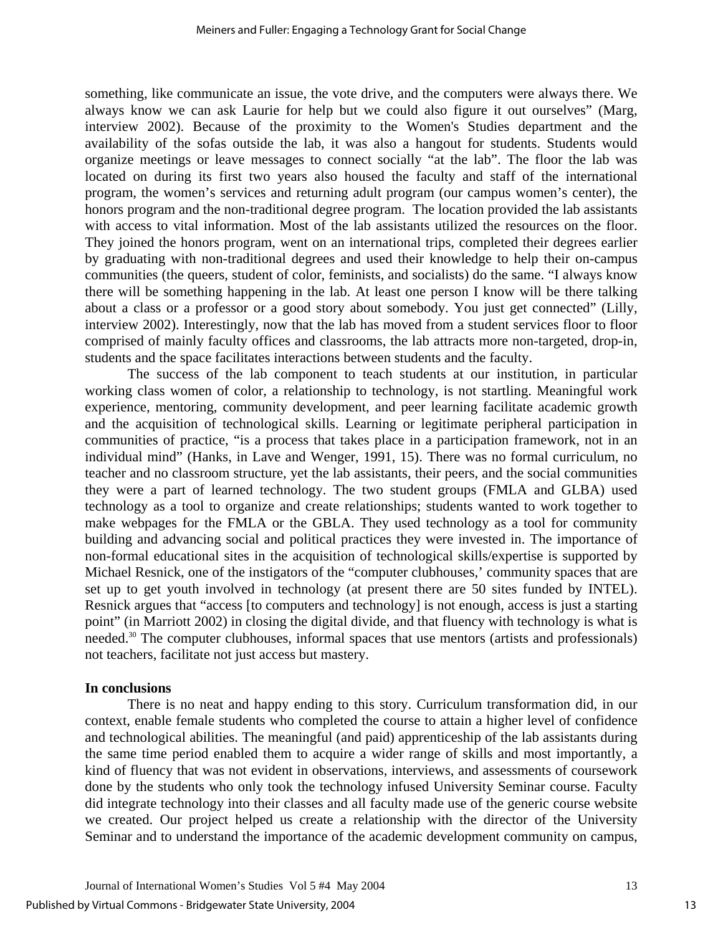something, like communicate an issue, the vote drive, and the computers were always there. We always know we can ask Laurie for help but we could also figure it out ourselves" (Marg, interview 2002). Because of the proximity to the Women's Studies department and the availability of the sofas outside the lab, it was also a hangout for students. Students would organize meetings or leave messages to connect socially "at the lab". The floor the lab was located on during its first two years also housed the faculty and staff of the international program, the women's services and returning adult program (our campus women's center), the honors program and the non-traditional degree program. The location provided the lab assistants with access to vital information. Most of the lab assistants utilized the resources on the floor. They joined the honors program, went on an international trips, completed their degrees earlier by graduating with non-traditional degrees and used their knowledge to help their on-campus communities (the queers, student of color, feminists, and socialists) do the same. "I always know there will be something happening in the lab. At least one person I know will be there talking about a class or a professor or a good story about somebody. You just get connected" (Lilly, interview 2002). Interestingly, now that the lab has moved from a student services floor to floor comprised of mainly faculty offices and classrooms, the lab attracts more non-targeted, drop-in, students and the space facilitates interactions between students and the faculty.

The success of the lab component to teach students at our institution, in particular working class women of color, a relationship to technology, is not startling. Meaningful work experience, mentoring, community development, and peer learning facilitate academic growth and the acquisition of technological skills. Learning or legitimate peripheral participation in communities of practice, "is a process that takes place in a participation framework, not in an individual mind" (Hanks, in Lave and Wenger, 1991, 15). There was no formal curriculum, no teacher and no classroom structure, yet the lab assistants, their peers, and the social communities they were a part of learned technology. The two student groups (FMLA and GLBA) used technology as a tool to organize and create relationships; students wanted to work together to make webpages for the FMLA or the GBLA. They used technology as a tool for community building and advancing social and political practices they were invested in. The importance of non-formal educational sites in the acquisition of technological skills/expertise is supported by Michael Resnick, one of the instigators of the "computer clubhouses,' community spaces that are set up to get youth involved in technology (at present there are 50 sites funded by INTEL). Resnick argues that "access [to computers and technology] is not enough, access is just a starting point" (in Marriott 2002) in closing the digital divide, and that fluency with technology is what is needed.<sup>30</sup> The computer clubhouses, informal spaces that use mentors (artists and professionals) not teachers, facilitate not just access but mastery.

#### **In conclusions**

There is no neat and happy ending to this story. Curriculum transformation did, in our context, enable female students who completed the course to attain a higher level of confidence and technological abilities. The meaningful (and paid) apprenticeship of the lab assistants during the same time period enabled them to acquire a wider range of skills and most importantly, a kind of fluency that was not evident in observations, interviews, and assessments of coursework done by the students who only took the technology infused University Seminar course. Faculty did integrate technology into their classes and all faculty made use of the generic course website we created. Our project helped us create a relationship with the director of the University Seminar and to understand the importance of the academic development community on campus,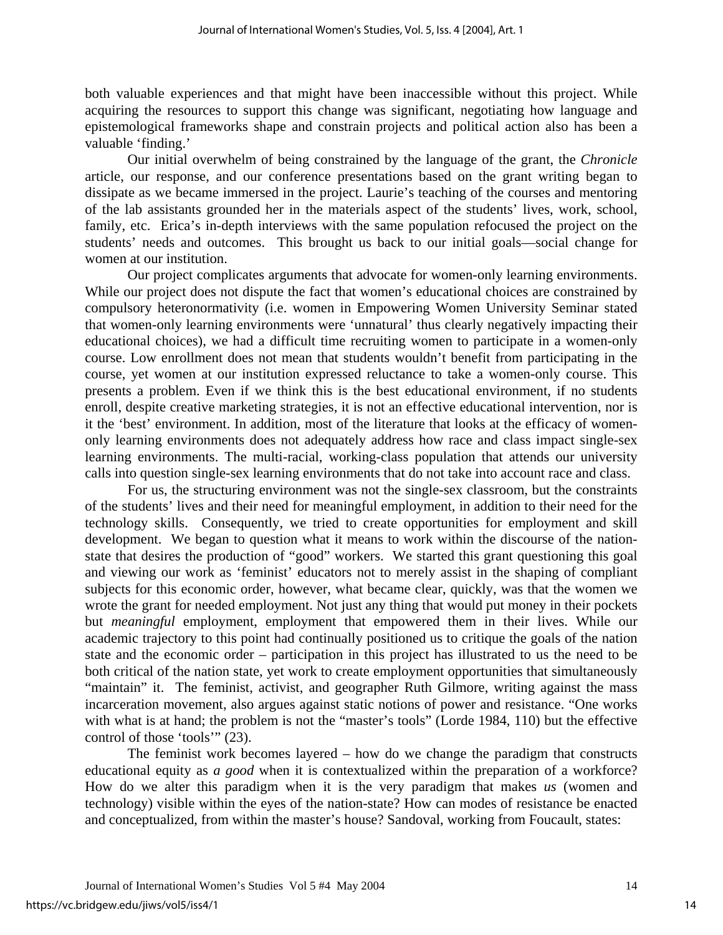both valuable experiences and that might have been inaccessible without this project. While acquiring the resources to support this change was significant, negotiating how language and epistemological frameworks shape and constrain projects and political action also has been a valuable 'finding.'

Our initial overwhelm of being constrained by the language of the grant, the *Chronicle* article, our response, and our conference presentations based on the grant writing began to dissipate as we became immersed in the project. Laurie's teaching of the courses and mentoring of the lab assistants grounded her in the materials aspect of the students' lives, work, school, family, etc. Erica's in-depth interviews with the same population refocused the project on the students' needs and outcomes. This brought us back to our initial goals—social change for women at our institution.

Our project complicates arguments that advocate for women-only learning environments. While our project does not dispute the fact that women's educational choices are constrained by compulsory heteronormativity (i.e. women in Empowering Women University Seminar stated that women-only learning environments were 'unnatural' thus clearly negatively impacting their educational choices), we had a difficult time recruiting women to participate in a women-only course. Low enrollment does not mean that students wouldn't benefit from participating in the course, yet women at our institution expressed reluctance to take a women-only course. This presents a problem. Even if we think this is the best educational environment, if no students enroll, despite creative marketing strategies, it is not an effective educational intervention, nor is it the 'best' environment. In addition, most of the literature that looks at the efficacy of womenonly learning environments does not adequately address how race and class impact single-sex learning environments. The multi-racial, working-class population that attends our university calls into question single-sex learning environments that do not take into account race and class.

For us, the structuring environment was not the single-sex classroom, but the constraints of the students' lives and their need for meaningful employment, in addition to their need for the technology skills. Consequently, we tried to create opportunities for employment and skill development. We began to question what it means to work within the discourse of the nationstate that desires the production of "good" workers. We started this grant questioning this goal and viewing our work as 'feminist' educators not to merely assist in the shaping of compliant subjects for this economic order, however, what became clear, quickly, was that the women we wrote the grant for needed employment. Not just any thing that would put money in their pockets but *meaningful* employment, employment that empowered them in their lives. While our academic trajectory to this point had continually positioned us to critique the goals of the nation state and the economic order – participation in this project has illustrated to us the need to be both critical of the nation state, yet work to create employment opportunities that simultaneously "maintain" it. The feminist, activist, and geographer Ruth Gilmore, writing against the mass incarceration movement, also argues against static notions of power and resistance. "One works with what is at hand; the problem is not the "master's tools" (Lorde 1984, 110) but the effective control of those 'tools'" (23).

The feminist work becomes layered – how do we change the paradigm that constructs educational equity as *a good* when it is contextualized within the preparation of a workforce? How do we alter this paradigm when it is the very paradigm that makes *us* (women and technology) visible within the eyes of the nation-state? How can modes of resistance be enacted and conceptualized, from within the master's house? Sandoval, working from Foucault, states: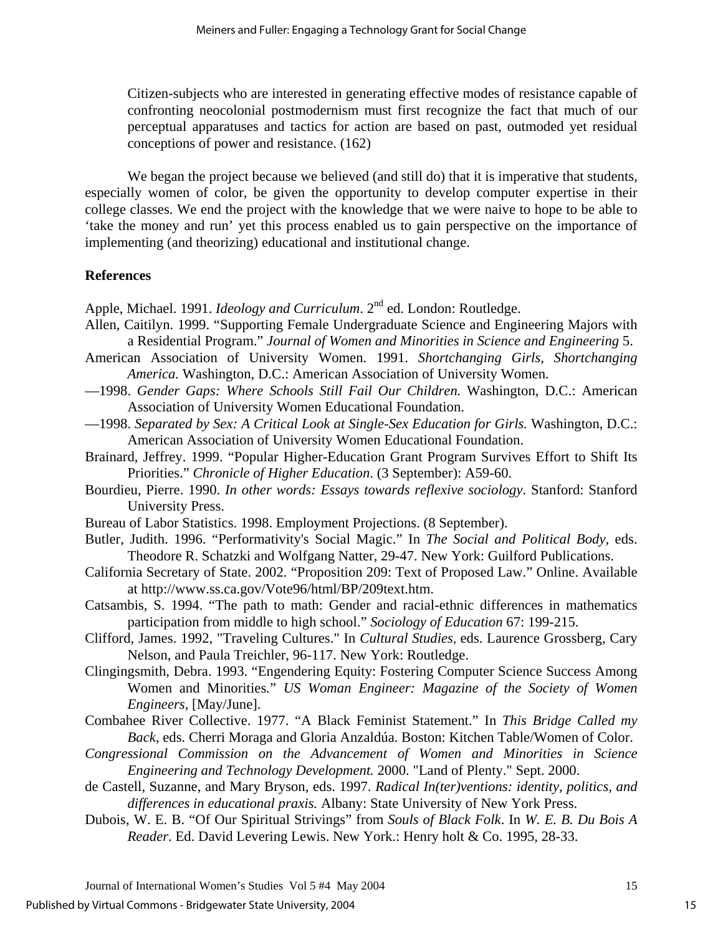Citizen-subjects who are interested in generating effective modes of resistance capable of confronting neocolonial postmodernism must first recognize the fact that much of our perceptual apparatuses and tactics for action are based on past, outmoded yet residual conceptions of power and resistance. (162)

We began the project because we believed (and still do) that it is imperative that students, especially women of color, be given the opportunity to develop computer expertise in their college classes. We end the project with the knowledge that we were naive to hope to be able to 'take the money and run' yet this process enabled us to gain perspective on the importance of implementing (and theorizing) educational and institutional change.

## **References**

Apple, Michael. 1991. *Ideology and Curriculum*. 2<sup>nd</sup> ed. London: Routledge.

- Allen, Caitilyn. 1999. "Supporting Female Undergraduate Science and Engineering Majors with a Residential Program." *Journal of Women and Minorities in Science and Engineering* 5.
- American Association of University Women. 1991. *Shortchanging Girls, Shortchanging America.* Washington, D.C.: American Association of University Women.
- —1998. *Gender Gaps: Where Schools Still Fail Our Children.* Washington, D.C.: American Association of University Women Educational Foundation.
- —1998. *Separated by Sex: A Critical Look at Single-Sex Education for Girls.* Washington, D.C.: American Association of University Women Educational Foundation.
- Brainard, Jeffrey. 1999. "Popular Higher-Education Grant Program Survives Effort to Shift Its Priorities." *Chronicle of Higher Education*. (3 September): A59-60.
- Bourdieu, Pierre. 1990. *In other words: Essays towards reflexive sociology*. Stanford: Stanford University Press.
- Bureau of Labor Statistics. 1998. Employment Projections. (8 September).
- Butler, Judith. 1996. "Performativity's Social Magic." In *The Social and Political Body,* eds. Theodore R. Schatzki and Wolfgang Natter, 29-47. New York: Guilford Publications.
- California Secretary of State. 2002. "Proposition 209: Text of Proposed Law." Online. Available at http://www.ss.ca.gov/Vote96/html/BP/209text.htm.
- Catsambis, S. 1994. "The path to math: Gender and racial-ethnic differences in mathematics participation from middle to high school." *Sociology of Education* 67: 199-215.
- Clifford, James. 1992, "Traveling Cultures." In *Cultural Studies,* eds. Laurence Grossberg, Cary Nelson, and Paula Treichler, 96-117. New York: Routledge.
- Clingingsmith, Debra. 1993. "Engendering Equity: Fostering Computer Science Success Among Women and Minorities*.*" *US Woman Engineer: Magazine of the Society of Women Engineers*, [May/June].
- Combahee River Collective. 1977. "A Black Feminist Statement." In *This Bridge Called my Back*, eds. Cherri Moraga and Gloria Anzaldúa. Boston: Kitchen Table/Women of Color.
- *Congressional Commission on the Advancement of Women and Minorities in Science Engineering and Technology Development.* 2000. "Land of Plenty." Sept. 2000.
- de Castell, Suzanne, and Mary Bryson, eds. 1997. *Radical In(ter)ventions: identity, politics, and differences in educational praxis.* Albany: State University of New York Press.
- Dubois, W. E. B. "Of Our Spiritual Strivings" from *Souls of Black Folk*. In *W. E. B. Du Bois A Reader*. Ed. David Levering Lewis. New York.: Henry holt & Co. 1995, 28-33.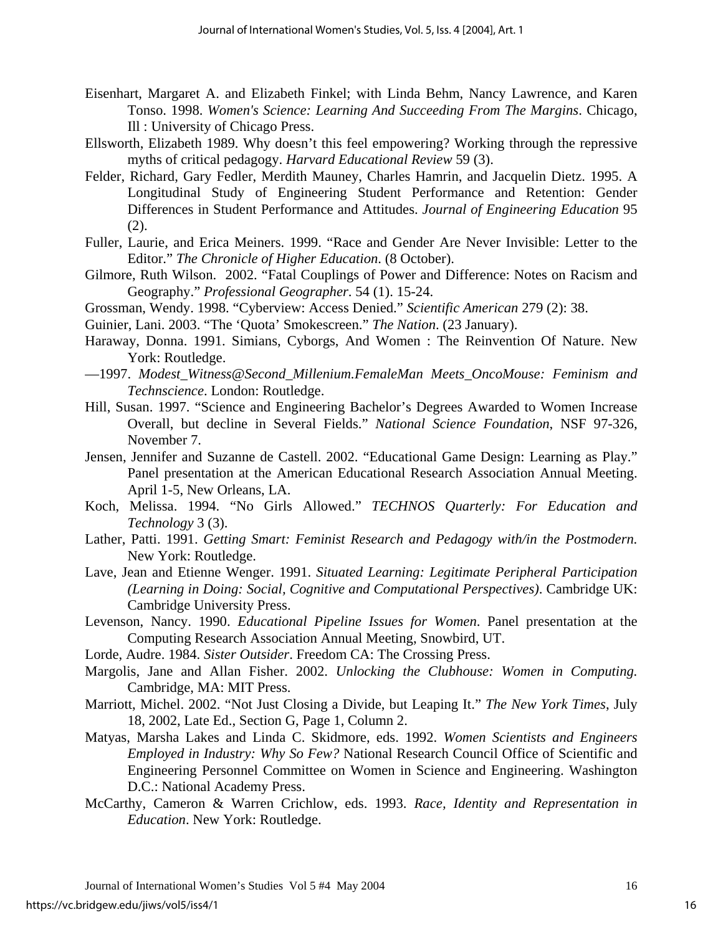- Eisenhart, Margaret A. and Elizabeth Finkel; with Linda Behm, Nancy Lawrence, and Karen Tonso. 1998. *Women's Science: Learning And Succeeding From The Margins*. Chicago, Ill : University of Chicago Press.
- Ellsworth, Elizabeth 1989. Why doesn't this feel empowering? Working through the repressive myths of critical pedagogy. *Harvard Educational Review* 59 (3).
- Felder, Richard, Gary Fedler, Merdith Mauney, Charles Hamrin, and Jacquelin Dietz. 1995. A Longitudinal Study of Engineering Student Performance and Retention: Gender Differences in Student Performance and Attitudes. *Journal of Engineering Education* 95 (2).
- Fuller, Laurie, and Erica Meiners. 1999. "Race and Gender Are Never Invisible: Letter to the Editor." *The Chronicle of Higher Education*. (8 October).
- Gilmore, Ruth Wilson. 2002. "Fatal Couplings of Power and Difference: Notes on Racism and Geography." *Professional Geographer*. 54 (1). 15-24.
- Grossman, Wendy. 1998. "Cyberview: Access Denied." *Scientific American* 279 (2): 38.
- Guinier, Lani. 2003. "The 'Quota' Smokescreen." *The Nation*. (23 January).
- Haraway, Donna. 1991. Simians, Cyborgs, And Women : The Reinvention Of Nature. New York: Routledge.
- —1997. *Modest\_Witness@Second\_Millenium.FemaleMan Meets\_OncoMouse: Feminism and Technscience*. London: Routledge.
- Hill, Susan. 1997. "Science and Engineering Bachelor's Degrees Awarded to Women Increase Overall, but decline in Several Fields." *National Science Foundation*, NSF 97-326, November 7.
- Jensen, Jennifer and Suzanne de Castell. 2002. "Educational Game Design: Learning as Play." Panel presentation at the American Educational Research Association Annual Meeting. April 1-5, New Orleans, LA.
- Koch, Melissa. 1994. "No Girls Allowed." *TECHNOS Quarterly: For Education and Technology* 3 (3).
- Lather, Patti. 1991. *Getting Smart: Feminist Research and Pedagogy with/in the Postmodern.*  New York: Routledge.
- Lave, Jean and Etienne Wenger. 1991. *Situated Learning: Legitimate Peripheral Participation (Learning in Doing: Social, Cognitive and Computational Perspectives)*. Cambridge UK: Cambridge University Press.
- Levenson, Nancy. 1990. *Educational Pipeline Issues for Women*. Panel presentation at the Computing Research Association Annual Meeting, Snowbird, UT.
- Lorde, Audre. 1984. *Sister Outsider*. Freedom CA: The Crossing Press.
- Margolis, Jane and Allan Fisher. 2002. *Unlocking the Clubhouse: Women in Computing.* Cambridge, MA: MIT Press.
- Marriott, Michel. 2002. "Not Just Closing a Divide, but Leaping It." *The New York Times*, July 18, 2002, Late Ed., Section G, Page 1, Column 2.
- Matyas, Marsha Lakes and Linda C. Skidmore, eds. 1992. *Women Scientists and Engineers Employed in Industry: Why So Few?* National Research Council Office of Scientific and Engineering Personnel Committee on Women in Science and Engineering. Washington D.C.: National Academy Press.
- McCarthy, Cameron & Warren Crichlow, eds. 1993. *Race, Identity and Representation in Education*. New York: Routledge.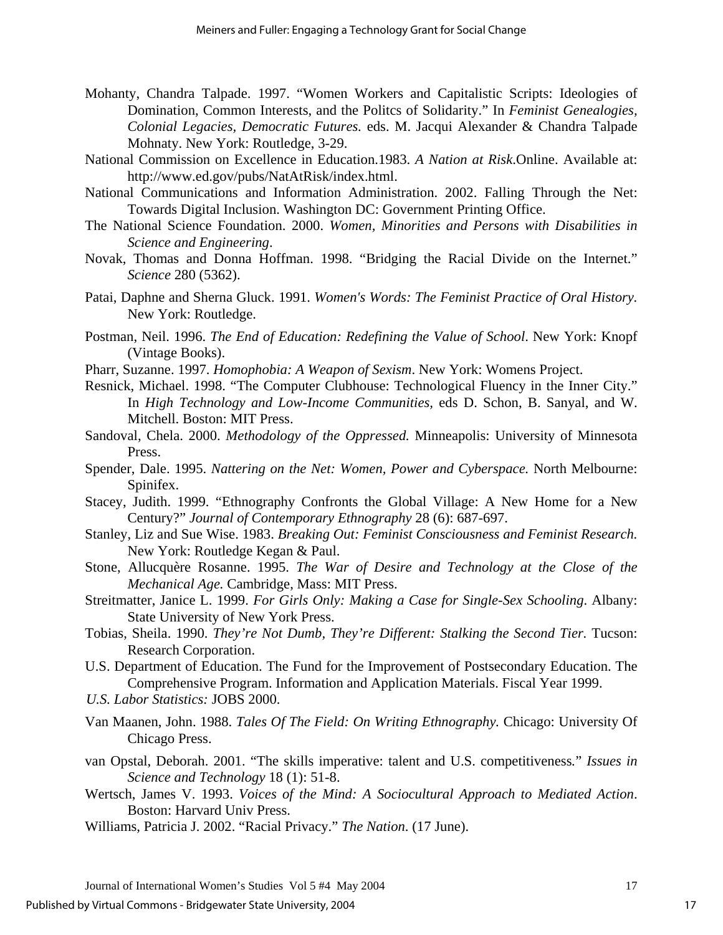- Mohanty, Chandra Talpade. 1997. "Women Workers and Capitalistic Scripts: Ideologies of Domination, Common Interests, and the Politcs of Solidarity." In *Feminist Genealogies, Colonial Legacies, Democratic Futures.* eds. M. Jacqui Alexander & Chandra Talpade Mohnaty. New York: Routledge, 3-29.
- National Commission on Excellence in Education.1983. *A Nation at Risk*.Online. Available at: http://www.ed.gov/pubs/NatAtRisk/index.html.
- National Communications and Information Administration. 2002. Falling Through the Net: Towards Digital Inclusion. Washington DC: Government Printing Office.
- The National Science Foundation. 2000. *Women, Minorities and Persons with Disabilities in Science and Engineering*.
- Novak, Thomas and Donna Hoffman. 1998. "Bridging the Racial Divide on the Internet." *Science* 280 (5362).
- Patai, Daphne and Sherna Gluck. 1991. *Women's Words: The Feminist Practice of Oral History.*  New York: Routledge.
- Postman, Neil. 1996. *The End of Education: Redefining the Value of School*. New York: Knopf (Vintage Books).
- Pharr, Suzanne. 1997. *Homophobia: A Weapon of Sexism*. New York: Womens Project.
- Resnick, Michael. 1998. "The Computer Clubhouse: Technological Fluency in the Inner City." In *High Technology and Low-Income Communities,* eds D. Schon, B. Sanyal, and W. Mitchell. Boston: MIT Press.
- Sandoval, Chela. 2000. *Methodology of the Oppressed.* Minneapolis: University of Minnesota Press.
- Spender, Dale. 1995. *Nattering on the Net: Women, Power and Cyberspace.* North Melbourne: Spinifex.
- Stacey, Judith. 1999. "[Ethnography Confronts the Global Village: A New Home for a New](http://newfirstsearch.oclc.org/WebZ/FSFETCH?fetchtype=fullrecord:sessionid=sp04sw01-48284-d4shl357-99lmla:entitypagenum=4:0:recno=2:resultset=2:format=FI:next=html/record.html:bad=error/badfetch.html:entitytoprecno=2:entitycurrecno=2:numrecs=1)  [Century?](http://newfirstsearch.oclc.org/WebZ/FSFETCH?fetchtype=fullrecord:sessionid=sp04sw01-48284-d4shl357-99lmla:entitypagenum=4:0:recno=2:resultset=2:format=FI:next=html/record.html:bad=error/badfetch.html:entitytoprecno=2:entitycurrecno=2:numrecs=1)" *Journal of Contemporary Ethnography* 28 (6): 687-697.
- Stanley, Liz and Sue Wise. 1983. *Breaking Out: Feminist Consciousness and Feminist Research.*  New York: Routledge Kegan & Paul.
- [Stone, Allucquère Rosanne.](http://library.ilcso.illinois.edu/uc/cgi-bin/Pwebrecon.cgi?SC=Author&SEQ=20030708152532&PID=9592&SA=Stone,+Allucqu�re+Rosanne.) 1995. *The War of Desire and Technology at the Close of the Mechanical Age.* Cambridge, Mass: MIT Press.
- Streitmatter, Janice L. 1999. *For Girls Only: Making a Case for Single-Sex Schooling*. Albany: State University of New York Press.
- Tobias, Sheila. 1990. *They're Not Dumb, They're Different: Stalking the Second Tier.* Tucson: Research Corporation.
- U.S. Department of Education. The Fund for the Improvement of Postsecondary Education. The Comprehensive Program. Information and Application Materials. Fiscal Year 1999.

*U.S. Labor Statistics:* JOBS 2000.

- Van Maanen, John. 1988. *Tales Of The Field: On Writing Ethnography.* Chicago: University Of Chicago Press.
- van Opstal, Deborah. 2001. "The skills imperative: talent and U.S. competitiveness*.*" *Issues in Science and Technology* 18 (1): 51-8.
- Wertsch, James V. 1993. *Voices of the Mind: A Sociocultural Approach to Mediated Action*. Boston: Harvard Univ Press.
- Williams, Patricia J. 2002. "Racial Privacy." *The Nation*. (17 June).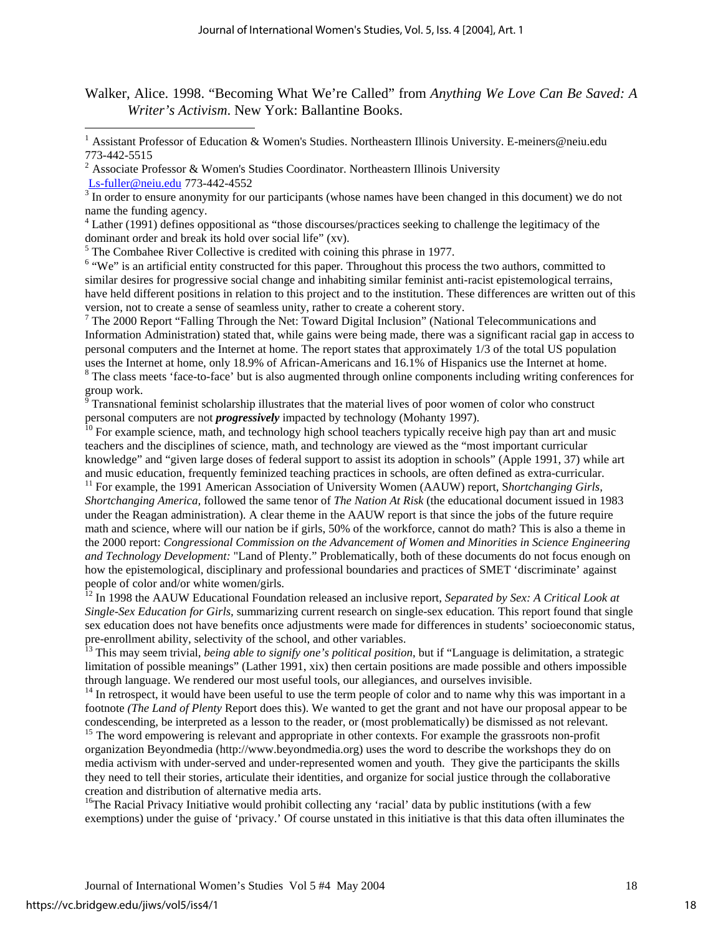Walker, Alice. 1998. "Becoming What We're Called" from *Anything We Love Can Be Saved: A Writer's Activism*. New York: Ballantine Books.

<sup>4</sup> Lather (1991) defines oppositional as "those discourses/practices seeking to challenge the legitimacy of the dominant order and break its hold over social life" (xv).

 $<sup>5</sup>$  The Combahee River Collective is credited with coining this phrase in 1977.</sup>

 $\overline{a}$ 

<sup>6</sup> "We" is an artificial entity constructed for this paper. Throughout this process the two authors, committed to similar desires for progressive social change and inhabiting similar feminist anti-racist epistemological terrains, have held different positions in relation to this project and to the institution. These differences are written out of this version, not to create a sense of seamless unity, rather to create a coherent story.

 $7$  The 2000 Report "Falling Through the Net: Toward Digital Inclusion" (National Telecommunications and Information Administration) stated that, while gains were being made, there was a significant racial gap in access to personal computers and the Internet at home. The report states that approximately 1/3 of the total US population uses the Internet at home, only 18.9% of African-Americans and 16.1% of Hispanics use the Internet at home.

<sup>8</sup> The class meets 'face-to-face' but is also augmented through online components including writing conferences for group work.<br><sup>9</sup> Transnational feminist scholarship illustrates that the material lives of poor women of color who construct

personal computers are not *progressively* impacted by technology (Mohanty 1997).

<sup>10</sup> For example science, math, and technology high school teachers typically receive high pay than art and music teachers and the disciplines of science, math, and technology are viewed as the "most important curricular knowledge" and "given large doses of federal support to assist its adoption in schools" (Apple 1991, 37) while art and music education, frequently feminized teaching practices in schools, are often defined as extra-curricular. 11 For example, the 1991 American Association of University Women (AAUW) report, S*hortchanging Girls,* 

*Shortchanging America,* followed the same tenor of *The Nation At Risk* (the educational document issued in 1983 under the Reagan administration). A clear theme in the AAUW report is that since the jobs of the future require math and science, where will our nation be if girls, 50% of the workforce, cannot do math? This is also a theme in the 2000 report: *Congressional Commission on the Advancement of Women and Minorities in Science Engineering and Technology Development:* "Land of Plenty." Problematically, both of these documents do not focus enough on how the epistemological, disciplinary and professional boundaries and practices of SMET 'discriminate' against people of color and/or white women/girls.

12 In 1998 the AAUW Educational Foundation released an inclusive report, *Separated by Sex: A Critical Look at Single-Sex Education for Girls,* summarizing current research on single-sex education*.* This report found that single sex education does not have benefits once adjustments were made for differences in students' socioeconomic status, pre-enrollment ability, selectivity of the school, and other variables.

<sup>13</sup> This may seem trivial, *being able to signify one's political position*, but if "Language is delimitation, a strategic limitation of possible meanings" (Lather 1991, xix) then certain positions are made possible and others impossible through language. We rendered our most useful tools, our allegiances, and ourselves invisible.<br><sup>14</sup> In retrospect, it would have been useful to use the term people of color and to name why this was important in a

footnote *(The Land of Plenty* Report does this). We wanted to get the grant and not have our proposal appear to be condescending, be interpreted as a lesson to the reader, or (most problematically) be dismissed as not relevant. 15 The word empowering is relevant and appropriate in other contexts. For example the grassroots non-profit

organization Beyondmedia (http://www.beyondmedia.org) uses the word to describe the workshops they do on media activism with under-served and under-represented women and youth. They give the participants the skills they need to tell their stories, articulate their identities, and organize for social justice through the collaborative creation and distribution of alternative media arts.

<sup>16</sup>The Racial Privacy Initiative would prohibit collecting any 'racial' data by public institutions (with a few exemptions) under the guise of 'privacy.' Of course unstated in this initiative is that this data often illuminates the

<sup>&</sup>lt;sup>1</sup> Assistant Professor of Education & Women's Studies. Northeastern Illinois University. E-meiners@neiu.edu 773-442-5515

<sup>2</sup> Associate Professor & Women's Studies Coordinator. Northeastern Illinois University Ls-fuller@neiu.edu 773-442-4552 [3](mailto:Ls-fuller@neiu.edu)

 $\sqrt[3]{\frac{1}{\pi}}$  In order to ensure anonymity for our participants (whose names have been changed in this document) we do not name the funding agency.